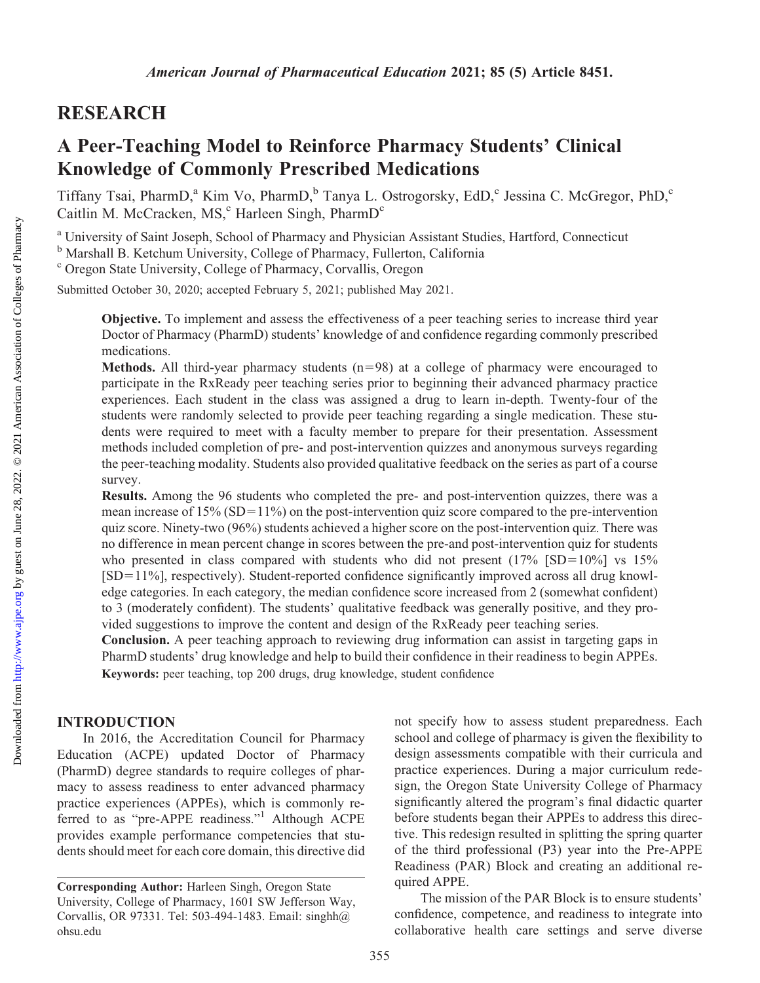# RESEARCH

# A Peer-Teaching Model to Reinforce Pharmacy Students' Clinical Knowledge of Commonly Prescribed Medications

Tiffany Tsai, PharmD,<sup>a</sup> Kim Vo, PharmD,<sup>b</sup> Tanya L. Ostrogorsky, EdD,<sup>c</sup> Jessina C. McGregor, PhD,<sup>c</sup> Caitlin M. McCracken, MS,<sup>c</sup> Harleen Singh, PharmD<sup>c</sup>

<sup>a</sup> University of Saint Joseph, School of Pharmacy and Physician Assistant Studies, Hartford, Connecticut

<sup>b</sup> Marshall B. Ketchum University, College of Pharmacy, Fullerton, California

<sup>c</sup> Oregon State University, College of Pharmacy, Corvallis, Oregon

Submitted October 30, 2020; accepted February 5, 2021; published May 2021.

Objective. To implement and assess the effectiveness of a peer teaching series to increase third year Doctor of Pharmacy (PharmD) students' knowledge of and confidence regarding commonly prescribed medications.

Methods. All third-year pharmacy students  $(n=98)$  at a college of pharmacy were encouraged to participate in the RxReady peer teaching series prior to beginning their advanced pharmacy practice experiences. Each student in the class was assigned a drug to learn in-depth. Twenty-four of the students were randomly selected to provide peer teaching regarding a single medication. These students were required to meet with a faculty member to prepare for their presentation. Assessment methods included completion of pre- and post-intervention quizzes and anonymous surveys regarding the peer-teaching modality. Students also provided qualitative feedback on the series as part of a course survey.

Results. Among the 96 students who completed the pre- and post-intervention quizzes, there was a mean increase of  $15\%$  (SD= $11\%$ ) on the post-intervention quiz score compared to the pre-intervention quiz score. Ninety-two (96%) students achieved a higher score on the post-intervention quiz. There was no difference in mean percent change in scores between the pre-and post-intervention quiz for students who presented in class compared with students who did not present  $(17\% \text{ [SD=10%]} \text{ vs } 15\%)$  $[SD=11\%]$ , respectively). Student-reported confidence significantly improved across all drug knowledge categories. In each category, the median confidence score increased from 2 (somewhat confident) to 3 (moderately confident). The students' qualitative feedback was generally positive, and they provided suggestions to improve the content and design of the RxReady peer teaching series.

Conclusion. A peer teaching approach to reviewing drug information can assist in targeting gaps in PharmD students' drug knowledge and help to build their confidence in their readiness to begin APPEs. Keywords: peer teaching, top 200 drugs, drug knowledge, student confidence

## INTRODUCTION

In 2016, the Accreditation Council for Pharmacy Education (ACPE) updated Doctor of Pharmacy (PharmD) degree standards to require colleges of pharmacy to assess readiness to enter advanced pharmacy practice experiences (APPEs), which is commonly referred to as "pre-APPE readiness."1 Although ACPE provides example performance competencies that students should meet for each core domain, this directive did not specify how to assess student preparedness. Each school and college of pharmacy is given the flexibility to design assessments compatible with their curricula and practice experiences. During a major curriculum redesign, the Oregon State University College of Pharmacy significantly altered the program's final didactic quarter before students began their APPEs to address this directive. This redesign resulted in splitting the spring quarter of the third professional (P3) year into the Pre-APPE Readiness (PAR) Block and creating an additional required APPE.

The mission of the PAR Block is to ensure students' confidence, competence, and readiness to integrate into collaborative health care settings and serve diverse

Corresponding Author: Harleen Singh, Oregon State University, College of Pharmacy, 1601 SW Jefferson Way, Corvallis, OR 97331. Tel: 503-494-1483. Email: [singhh@](mailto:singhh@ohsu.edu) [ohsu.edu](mailto:singhh@ohsu.edu)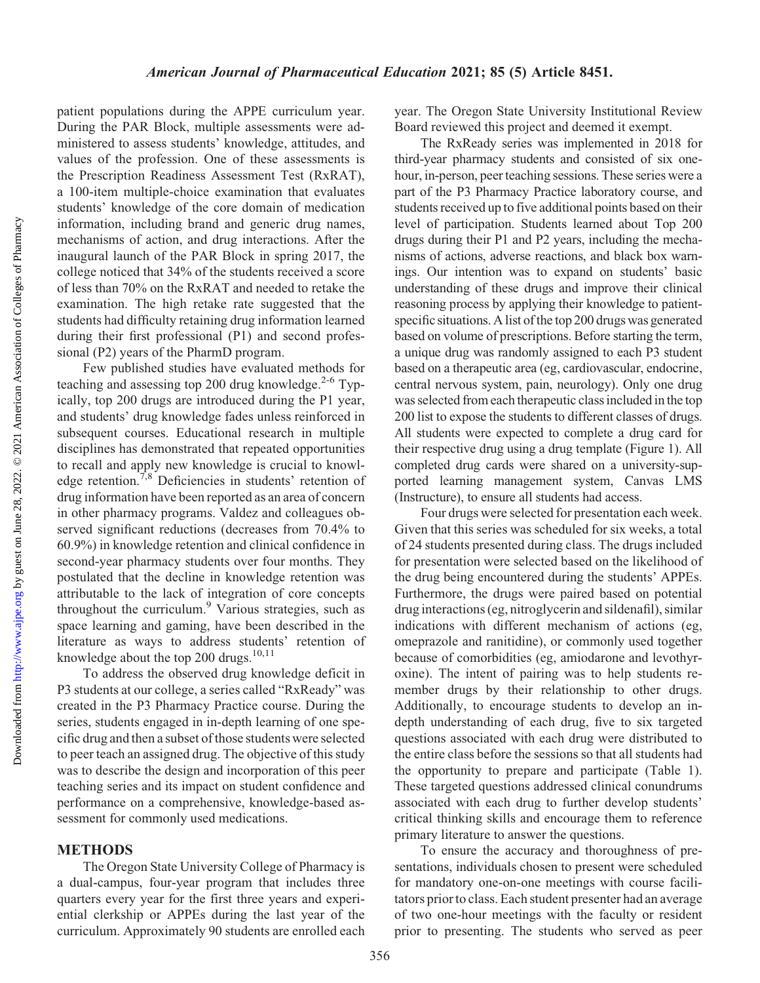Downloaded from

patient populations during the APPE curriculum year. During the PAR Block, multiple assessments were administered to assess students' knowledge, attitudes, and values of the profession. One of these assessments is the Prescription Readiness Assessment Test (RxRAT), a 100-item multiple-choice examination that evaluates students' knowledge of the core domain of medication information, including brand and generic drug names, mechanisms of action, and drug interactions. After the inaugural launch of the PAR Block in spring 2017, the college noticed that 34% of the students received a score of less than 70% on the RxRAT and needed to retake the examination. The high retake rate suggested that the students had difficulty retaining drug information learned during their first professional (P1) and second professional (P2) years of the PharmD program.

Few published studies have evaluated methods for teaching and assessing top 200 drug knowledge. $2-6$  Typically, top 200 drugs are introduced during the P1 year, and students' drug knowledge fades unless reinforced in subsequent courses. Educational research in multiple disciplines has demonstrated that repeated opportunities to recall and apply new knowledge is crucial to knowledge retention.7,8 Deficiencies in students' retention of drug information have been reported as an area of concern in other pharmacy programs. Valdez and colleagues observed significant reductions (decreases from 70.4% to 60.9%) in knowledge retention and clinical confidence in second-year pharmacy students over four months. They postulated that the decline in knowledge retention was attributable to the lack of integration of core concepts throughout the curriculum.<sup>9</sup> Various strategies, such as space learning and gaming, have been described in the literature as ways to address students' retention of knowledge about the top  $200$  drugs.<sup>10,11</sup>

To address the observed drug knowledge deficit in P3 students at our college, a series called "RxReady" was created in the P3 Pharmacy Practice course. During the series, students engaged in in-depth learning of one specific drug and then a subset of those students were selected to peer teach an assigned drug. The objective of this study was to describe the design and incorporation of this peer teaching series and its impact on student confidence and performance on a comprehensive, knowledge-based assessment for commonly used medications.

#### METHODS

The Oregon State University College of Pharmacy is a dual-campus, four-year program that includes three quarters every year for the first three years and experiential clerkship or APPEs during the last year of the curriculum. Approximately 90 students are enrolled each

year. The Oregon State University Institutional Review Board reviewed this project and deemed it exempt.

The RxReady series was implemented in 2018 for third-year pharmacy students and consisted of six onehour, in-person, peer teaching sessions. These series were a part of the P3 Pharmacy Practice laboratory course, and students received up to five additional points based on their level of participation. Students learned about Top 200 drugs during their P1 and P2 years, including the mechanisms of actions, adverse reactions, and black box warnings. Our intention was to expand on students' basic understanding of these drugs and improve their clinical reasoning process by applying their knowledge to patientspecific situations. A list of the top 200 drugs was generated based on volume of prescriptions. Before starting the term, a unique drug was randomly assigned to each P3 student based on a therapeutic area (eg, cardiovascular, endocrine, central nervous system, pain, neurology). Only one drug was selected from each therapeutic class included in the top 200 list to expose the students to different classes of drugs. All students were expected to complete a drug card for their respective drug using a drug template (Figure 1). All completed drug cards were shared on a university-supported learning management system, Canvas LMS (Instructure), to ensure all students had access.

Four drugs were selected for presentation each week. Given that this series was scheduled for six weeks, a total of 24 students presented during class. The drugs included for presentation were selected based on the likelihood of the drug being encountered during the students' APPEs. Furthermore, the drugs were paired based on potential drug interactions (eg, nitroglycerin and sildenafil), similar indications with different mechanism of actions (eg, omeprazole and ranitidine), or commonly used together because of comorbidities (eg, amiodarone and levothyroxine). The intent of pairing was to help students remember drugs by their relationship to other drugs. Additionally, to encourage students to develop an indepth understanding of each drug, five to six targeted questions associated with each drug were distributed to the entire class before the sessions so that all students had the opportunity to prepare and participate (Table 1). These targeted questions addressed clinical conundrums associated with each drug to further develop students' critical thinking skills and encourage them to reference primary literature to answer the questions.

To ensure the accuracy and thoroughness of presentations, individuals chosen to present were scheduled for mandatory one-on-one meetings with course facilitators prior to class. Each student presenter had an average of two one-hour meetings with the faculty or resident prior to presenting. The students who served as peer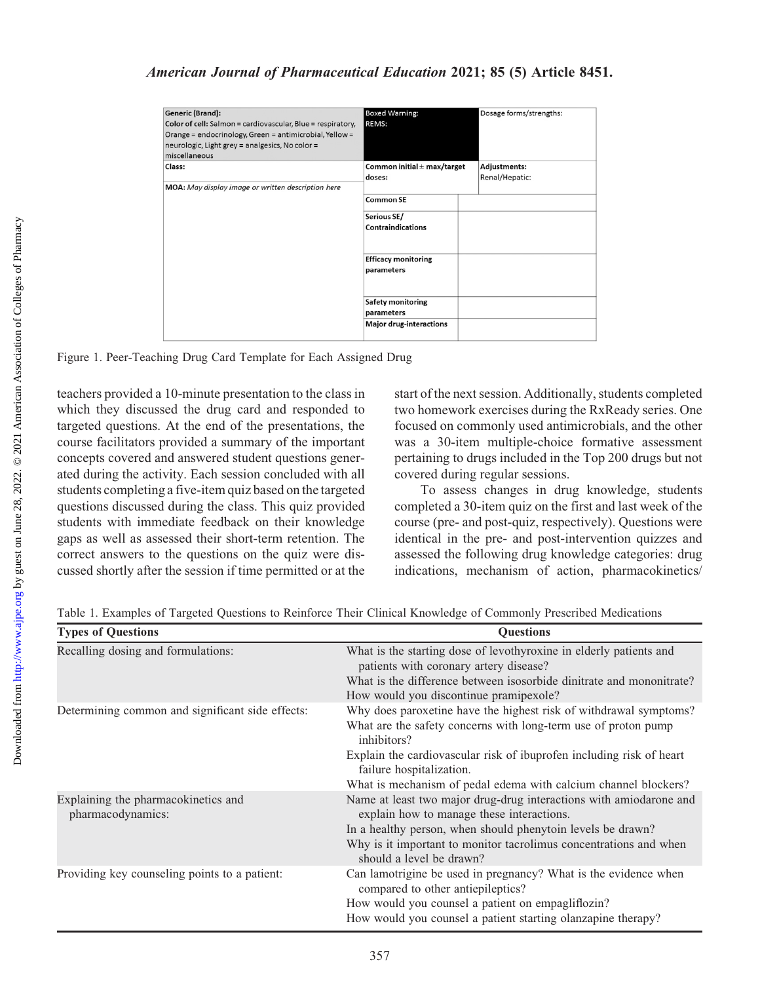| <b>Generic (Brand):</b><br>Color of cell: Salmon = cardiovascular, Blue = respiratory,<br>Orange = endocrinology, Green = antimicrobial, Yellow =<br>neurologic, Light grey = analgesics, No color =<br>miscellaneous | <b>Boxed Warning:</b><br><b>REMS:</b>     | Dosage forms/strengths:               |
|-----------------------------------------------------------------------------------------------------------------------------------------------------------------------------------------------------------------------|-------------------------------------------|---------------------------------------|
| Class:<br>MOA: May display image or written description here                                                                                                                                                          | Common initial $\pm$ max/target<br>doses: | <b>Adjustments:</b><br>Renal/Hepatic: |
|                                                                                                                                                                                                                       | <b>Common SE</b>                          |                                       |
|                                                                                                                                                                                                                       | Serious SE/<br><b>Contraindications</b>   |                                       |
|                                                                                                                                                                                                                       | <b>Efficacy monitoring</b><br>parameters  |                                       |
|                                                                                                                                                                                                                       | <b>Safety monitoring</b><br>parameters    |                                       |
|                                                                                                                                                                                                                       | <b>Major drug-interactions</b>            |                                       |

Figure 1. Peer-Teaching Drug Card Template for Each Assigned Drug

teachers provided a 10-minute presentation to the class in which they discussed the drug card and responded to targeted questions. At the end of the presentations, the course facilitators provided a summary of the important concepts covered and answered student questions generated during the activity. Each session concluded with all students completing a five-item quiz based on the targeted questions discussed during the class. This quiz provided students with immediate feedback on their knowledge gaps as well as assessed their short-term retention. The correct answers to the questions on the quiz were discussed shortly after the session if time permitted or at the

start of the next session. Additionally, students completed two homework exercises during the RxReady series. One focused on commonly used antimicrobials, and the other was a 30-item multiple-choice formative assessment pertaining to drugs included in the Top 200 drugs but not covered during regular sessions.

To assess changes in drug knowledge, students completed a 30-item quiz on the first and last week of the course (pre- and post-quiz, respectively). Questions were identical in the pre- and post-intervention quizzes and assessed the following drug knowledge categories: drug indications, mechanism of action, pharmacokinetics/

| <b>Types of Questions</b>                                | <b>Ouestions</b>                                                                                                                                                                                                                                                                                                          |
|----------------------------------------------------------|---------------------------------------------------------------------------------------------------------------------------------------------------------------------------------------------------------------------------------------------------------------------------------------------------------------------------|
| Recalling dosing and formulations:                       | What is the starting dose of levothyroxine in elderly patients and<br>patients with coronary artery disease?<br>What is the difference between isosorbide dinitrate and mononitrate?<br>How would you discontinue pramipexole?                                                                                            |
| Determining common and significant side effects:         | Why does paroxetine have the highest risk of withdrawal symptoms?<br>What are the safety concerns with long-term use of proton pump<br>inhibitors?<br>Explain the cardiovascular risk of ibuprofen including risk of heart<br>failure hospitalization.<br>What is mechanism of pedal edema with calcium channel blockers? |
| Explaining the pharmacokinetics and<br>pharmacodynamics: | Name at least two major drug-drug interactions with amiodarone and<br>explain how to manage these interactions.<br>In a healthy person, when should phenytoin levels be drawn?<br>Why is it important to monitor tacrolimus concentrations and when<br>should a level be drawn?                                           |
| Providing key counseling points to a patient:            | Can lamotrigine be used in pregnancy? What is the evidence when<br>compared to other antiepileptics?<br>How would you counsel a patient on empagliflozin?<br>How would you counsel a patient starting olanzapine therapy?                                                                                                 |

Table 1. Examples of Targeted Questions to Reinforce Their Clinical Knowledge of Commonly Prescribed Medications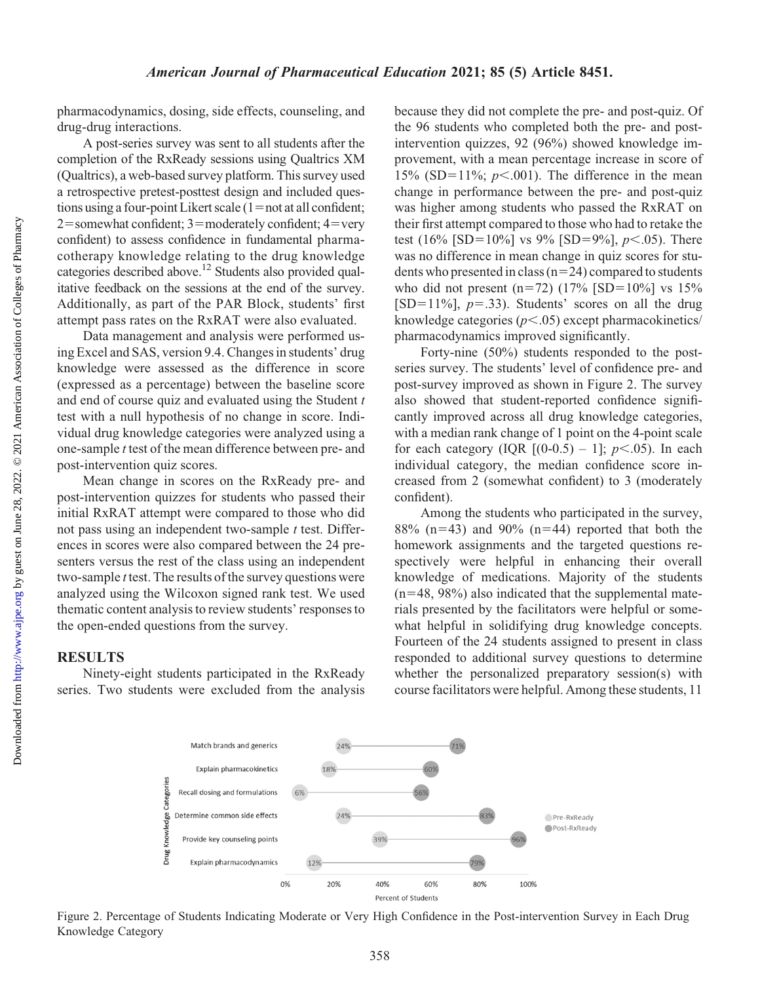pharmacodynamics, dosing, side effects, counseling, and drug-drug interactions.

A post-series survey was sent to all students after the completion of the RxReady sessions using Qualtrics XM (Qualtrics), a web-based survey platform. This survey used a retrospective pretest-posttest design and included questions using a four-point Likert scale  $(1=not at all confident;$  $2$ =somewhat confident; 3=moderately confident; 4=very confident) to assess confidence in fundamental pharmacotherapy knowledge relating to the drug knowledge categories described above.12 Students also provided qualitative feedback on the sessions at the end of the survey. Additionally, as part of the PAR Block, students' first attempt pass rates on the RxRAT were also evaluated.

Data management and analysis were performed using Excel and SAS, version 9.4. Changes in students' drug knowledge were assessed as the difference in score (expressed as a percentage) between the baseline score and end of course quiz and evaluated using the Student  $t$ test with a null hypothesis of no change in score. Individual drug knowledge categories were analyzed using a one-sample t test of the mean difference between pre- and post-intervention quiz scores.

Mean change in scores on the RxReady pre- and post-intervention quizzes for students who passed their initial RxRAT attempt were compared to those who did not pass using an independent two-sample  $t$  test. Differences in scores were also compared between the 24 presenters versus the rest of the class using an independent two-sample t test. The results of the survey questions were analyzed using the Wilcoxon signed rank test. We used thematic content analysis to review students' responses to the open-ended questions from the survey.

### **RESULTS**

Ninety-eight students participated in the RxReady series. Two students were excluded from the analysis because they did not complete the pre- and post-quiz. Of the 96 students who completed both the pre- and postintervention quizzes, 92 (96%) showed knowledge improvement, with a mean percentage increase in score of 15% (SD=11%;  $p<.001$ ). The difference in the mean change in performance between the pre- and post-quiz was higher among students who passed the RxRAT on their first attempt compared to those who had to retake the test (16% [SD=10%] vs 9% [SD=9%],  $p<.05$ ). There was no difference in mean change in quiz scores for students who presented in class  $(n=24)$  compared to students who did not present  $(n=72)$  (17% [SD=10%] vs 15%  $[SD=11\%]$ ,  $p=.33$ ). Students' scores on all the drug knowledge categories  $(p<.05)$  except pharmacokinetics/ pharmacodynamics improved significantly.

Forty-nine (50%) students responded to the postseries survey. The students' level of confidence pre- and post-survey improved as shown in Figure 2. The survey also showed that student-reported confidence significantly improved across all drug knowledge categories, with a median rank change of 1 point on the 4-point scale for each category (IQR  $[(0-0.5) - 1]$ ;  $p < .05$ ). In each individual category, the median confidence score increased from 2 (somewhat confident) to 3 (moderately confident).

Among the students who participated in the survey, 88% (n=43) and 90% (n=44) reported that both the homework assignments and the targeted questions respectively were helpful in enhancing their overall knowledge of medications. Majority of the students  $(n=48, 98%)$  also indicated that the supplemental materials presented by the facilitators were helpful or somewhat helpful in solidifying drug knowledge concepts. Fourteen of the 24 students assigned to present in class responded to additional survey questions to determine whether the personalized preparatory session(s) with course facilitators were helpful. Among these students, 11



Figure 2. Percentage of Students Indicating Moderate or Very High Confidence in the Post-intervention Survey in Each Drug Knowledge Category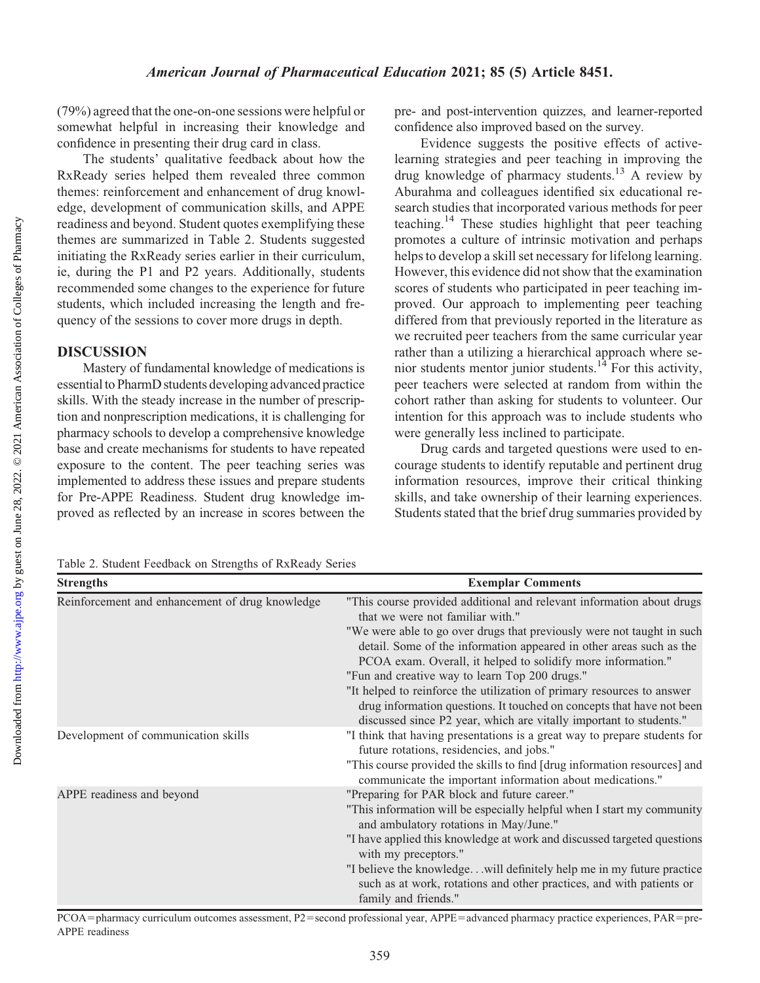Downloaded from

(79%) agreed that the one-on-one sessions were helpful or somewhat helpful in increasing their knowledge and confidence in presenting their drug card in class.

The students' qualitative feedback about how the RxReady series helped them revealed three common themes: reinforcement and enhancement of drug knowledge, development of communication skills, and APPE readiness and beyond. Student quotes exemplifying these themes are summarized in Table 2. Students suggested initiating the RxReady series earlier in their curriculum, ie, during the P1 and P2 years. Additionally, students recommended some changes to the experience for future students, which included increasing the length and frequency of the sessions to cover more drugs in depth.

# DISCUSSION

Mastery of fundamental knowledge of medications is essential to PharmD students developing advanced practice skills. With the steady increase in the number of prescription and nonprescription medications, it is challenging for pharmacy schools to develop a comprehensive knowledge base and create mechanisms for students to have repeated exposure to the content. The peer teaching series was implemented to address these issues and prepare students for Pre-APPE Readiness. Student drug knowledge improved as reflected by an increase in scores between the pre- and post-intervention quizzes, and learner-reported confidence also improved based on the survey.

Evidence suggests the positive effects of activelearning strategies and peer teaching in improving the drug knowledge of pharmacy students.<sup>13</sup> A review by Aburahma and colleagues identified six educational research studies that incorporated various methods for peer teaching.14 These studies highlight that peer teaching promotes a culture of intrinsic motivation and perhaps helps to develop a skill set necessary for lifelong learning. However, this evidence did not show that the examination scores of students who participated in peer teaching improved. Our approach to implementing peer teaching differed from that previously reported in the literature as we recruited peer teachers from the same curricular year rather than a utilizing a hierarchical approach where senior students mentor junior students.<sup>14</sup> For this activity, peer teachers were selected at random from within the cohort rather than asking for students to volunteer. Our intention for this approach was to include students who were generally less inclined to participate.

Drug cards and targeted questions were used to encourage students to identify reputable and pertinent drug information resources, improve their critical thinking skills, and take ownership of their learning experiences. Students stated that the brief drug summaries provided by

Table 2. Student Feedback on Strengths of RxReady Series

| <b>Strengths</b>                                | <b>Exemplar Comments</b>                                                                                                                                                                                                                                                                                                                                                                                                                                                                                                                                                                              |
|-------------------------------------------------|-------------------------------------------------------------------------------------------------------------------------------------------------------------------------------------------------------------------------------------------------------------------------------------------------------------------------------------------------------------------------------------------------------------------------------------------------------------------------------------------------------------------------------------------------------------------------------------------------------|
| Reinforcement and enhancement of drug knowledge | "This course provided additional and relevant information about drugs<br>that we were not familiar with."<br>"We were able to go over drugs that previously were not taught in such<br>detail. Some of the information appeared in other areas such as the<br>PCOA exam. Overall, it helped to solidify more information."<br>"Fun and creative way to learn Top 200 drugs."<br>"It helped to reinforce the utilization of primary resources to answer<br>drug information questions. It touched on concepts that have not been<br>discussed since P2 year, which are vitally important to students." |
| Development of communication skills             | "I think that having presentations is a great way to prepare students for<br>future rotations, residencies, and jobs."<br>"This course provided the skills to find [drug information resources] and<br>communicate the important information about medications."                                                                                                                                                                                                                                                                                                                                      |
| APPE readiness and beyond                       | "Preparing for PAR block and future career."<br>"This information will be especially helpful when I start my community<br>and ambulatory rotations in May/June."<br>"I have applied this knowledge at work and discussed targeted questions<br>with my preceptors."<br>"I believe the knowledgewill definitely help me in my future practice<br>such as at work, rotations and other practices, and with patients or<br>family and friends."                                                                                                                                                          |

PCOA=pharmacy curriculum outcomes assessment, P2=second professional year, APPE=advanced pharmacy practice experiences, PAR=pre-APPE readiness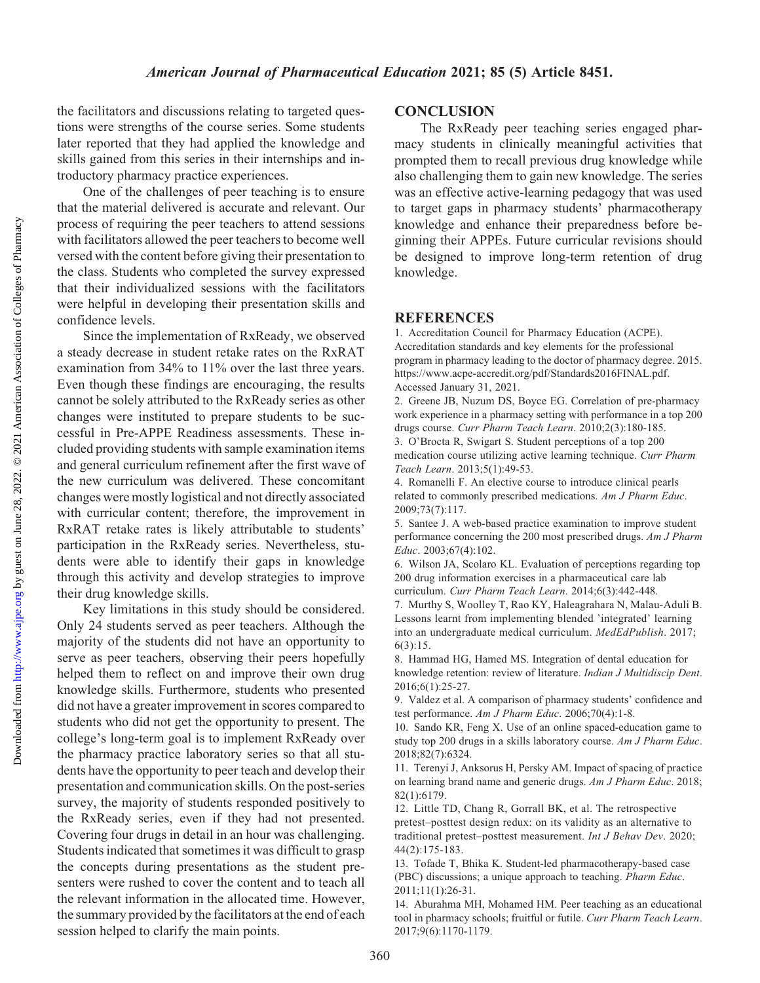the facilitators and discussions relating to targeted questions were strengths of the course series. Some students later reported that they had applied the knowledge and skills gained from this series in their internships and introductory pharmacy practice experiences.

One of the challenges of peer teaching is to ensure that the material delivered is accurate and relevant. Our process of requiring the peer teachers to attend sessions with facilitators allowed the peer teachers to become well versed with the content before giving their presentation to the class. Students who completed the survey expressed that their individualized sessions with the facilitators were helpful in developing their presentation skills and confidence levels.

Since the implementation of RxReady, we observed a steady decrease in student retake rates on the RxRAT examination from 34% to 11% over the last three years. Even though these findings are encouraging, the results cannot be solely attributed to the RxReady series as other changes were instituted to prepare students to be successful in Pre-APPE Readiness assessments. These included providing students with sample examination items and general curriculum refinement after the first wave of the new curriculum was delivered. These concomitant changes were mostly logistical and not directly associated with curricular content; therefore, the improvement in RxRAT retake rates is likely attributable to students' participation in the RxReady series. Nevertheless, students were able to identify their gaps in knowledge through this activity and develop strategies to improve their drug knowledge skills.

Key limitations in this study should be considered. Only 24 students served as peer teachers. Although the majority of the students did not have an opportunity to serve as peer teachers, observing their peers hopefully helped them to reflect on and improve their own drug knowledge skills. Furthermore, students who presented did not have a greater improvement in scores compared to students who did not get the opportunity to present. The college's long-term goal is to implement RxReady over the pharmacy practice laboratory series so that all students have the opportunity to peer teach and develop their presentation and communication skills. On the post-series survey, the majority of students responded positively to the RxReady series, even if they had not presented. Covering four drugs in detail in an hour was challenging. Students indicated that sometimes it was difficult to grasp the concepts during presentations as the student presenters were rushed to cover the content and to teach all the relevant information in the allocated time. However, the summary provided by the facilitators at the end of each session helped to clarify the main points.

### **CONCLUSION**

The RxReady peer teaching series engaged pharmacy students in clinically meaningful activities that prompted them to recall previous drug knowledge while also challenging them to gain new knowledge. The series was an effective active-learning pedagogy that was used to target gaps in pharmacy students' pharmacotherapy knowledge and enhance their preparedness before beginning their APPEs. Future curricular revisions should be designed to improve long-term retention of drug knowledge.

#### **REFERENCES**

1. Accreditation Council for Pharmacy Education (ACPE). Accreditation standards and key elements for the professional program in pharmacy leading to the doctor of pharmacy degree. 2015. [https://www.acpe-accredit.org/pdf/Standards2016FINAL.pdf.](https://www.acpe-accredit.org/pdf/Standards2016FINAL.pdf) Accessed January 31, 2021.

2. Greene JB, Nuzum DS, Boyce EG. Correlation of pre-pharmacy work experience in a pharmacy setting with performance in a top 200 drugs course. Curr Pharm Teach Learn. 2010;2(3):180-185. 3. O'Brocta R, Swigart S. Student perceptions of a top 200 medication course utilizing active learning technique. Curr Pharm Teach Learn. 2013;5(1):49-53.

4. Romanelli F. An elective course to introduce clinical pearls related to commonly prescribed medications. Am J Pharm Educ. 2009;73(7):117.

5. Santee J. A web-based practice examination to improve student performance concerning the 200 most prescribed drugs. Am J Pharm Educ. 2003;67(4):102.

6. Wilson JA, Scolaro KL. Evaluation of perceptions regarding top 200 drug information exercises in a pharmaceutical care lab curriculum. Curr Pharm Teach Learn. 2014;6(3):442-448.

7. Murthy S, Woolley T, Rao KY, Haleagrahara N, Malau-Aduli B. Lessons learnt from implementing blended 'integrated' learning into an undergraduate medical curriculum. MedEdPublish. 2017; 6(3):15.

8. Hammad HG, Hamed MS. Integration of dental education for knowledge retention: review of literature. Indian J Multidiscip Dent. 2016;6(1):25-27.

9. Valdez et al. A comparison of pharmacy students' confidence and test performance. Am J Pharm Educ. 2006;70(4):1-8.

10. Sando KR, Feng X. Use of an online spaced-education game to study top 200 drugs in a skills laboratory course. Am J Pharm Educ. 2018;82(7):6324.

11. Terenyi J, Anksorus H, Persky AM. Impact of spacing of practice on learning brand name and generic drugs. Am J Pharm Educ. 2018; 82(1):6179.

12. Little TD, Chang R, Gorrall BK, et al. The retrospective pretest–posttest design redux: on its validity as an alternative to traditional pretest–posttest measurement. Int J Behav Dev. 2020; 44(2):175-183.

13. Tofade T, Bhika K. Student-led pharmacotherapy-based case (PBC) discussions; a unique approach to teaching. Pharm Educ. 2011;11(1):26-31.

14. Aburahma MH, Mohamed HM. Peer teaching as an educational tool in pharmacy schools; fruitful or futile. Curr Pharm Teach Learn. 2017;9(6):1170-1179.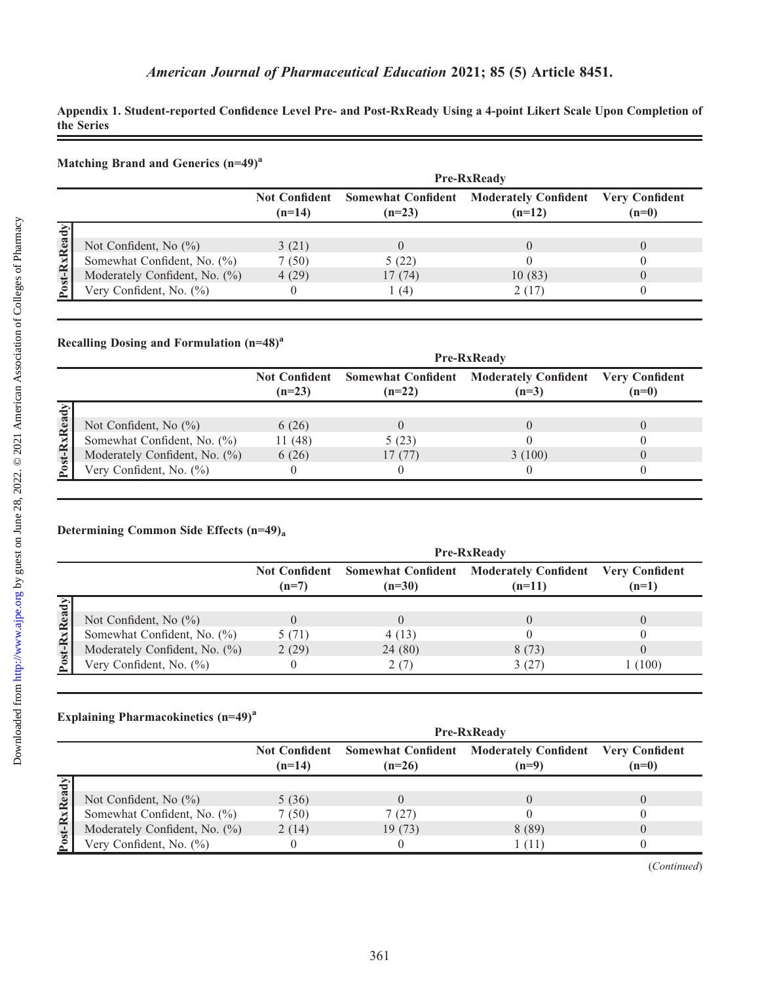Appendix 1. Student-reported Confidence Level Pre- and Post-RxReady Using a 4-point Likert Scale Upon Completion of the Series

| Matching Brand and Generics (n=49) <sup>a</sup> |
|-------------------------------------------------|
|-------------------------------------------------|

|               |                               | <b>Pre-RxReady</b> |          |                                                                   |                                  |
|---------------|-------------------------------|--------------------|----------|-------------------------------------------------------------------|----------------------------------|
|               |                               | $(n=14)$           | $(n=23)$ | Not Confident Somewhat Confident Moderately Confident<br>$(n=12)$ | <b>Very Confident</b><br>$(n=0)$ |
|               |                               |                    |          |                                                                   |                                  |
| $\sim$        | Not Confident, No $(\% )$     | 3(21)              |          |                                                                   |                                  |
| ≃             | Somewhat Confident, No. (%)   | 7(50)              | 5(22)    |                                                                   |                                  |
| $\frac{1}{2}$ | Moderately Confident, No. (%) | 4(29)              | 17(74)   | 10(83)                                                            |                                  |
|               | Very Confident, No. (%)       |                    | (4)      | 2 (17)                                                            |                                  |

#### Recalling Dosing and Formulation  $(n=48)^a$

|                 |                               | <b>Pre-RxReady</b>               |          |                                                           |                                  |
|-----------------|-------------------------------|----------------------------------|----------|-----------------------------------------------------------|----------------------------------|
|                 |                               | <b>Not Confident</b><br>$(n=23)$ | $(n=22)$ | <b>Somewhat Confident Moderately Confident</b><br>$(n=3)$ | <b>Very Confident</b><br>$(n=0)$ |
| <b>Rx</b> Ready | Not Confident, No $(\%)$      | 6(26)                            |          |                                                           |                                  |
|                 | Somewhat Confident, No. (%)   | 11(48)                           | 5(23)    |                                                           |                                  |
|                 | Moderately Confident, No. (%) | 6(26)                            | 17(77)   | 3(100)                                                    |                                  |
| Post-           | Very Confident, No. (%)       |                                  |          |                                                           |                                  |

## Determining Common Side Effects (n=49)a

|                      |                               | <b>Pre-RxReady</b>              |          |                                                                           |         |
|----------------------|-------------------------------|---------------------------------|----------|---------------------------------------------------------------------------|---------|
|                      |                               | <b>Not Confident</b><br>$(n=7)$ | $(n=30)$ | <b>Somewhat Confident Moderately Confident Very Confident</b><br>$(n=11)$ | $(n=1)$ |
|                      |                               |                                 |          |                                                                           |         |
| ≂<br>Re:             | Not Confident, No $(\% )$     |                                 |          |                                                                           |         |
| $\tilde{\mathbf{z}}$ | Somewhat Confident, No. (%)   | 5 (71)                          | 4(13)    |                                                                           |         |
|                      | Moderately Confident, No. (%) | 2(29)                           | 24(80)   | 8(73)                                                                     |         |
| $Post-$              | Very Confident, No. (%)       |                                 | 2(7)     | 3(27)                                                                     | 1(100)  |

## Explaining Pharmacokinetics (n=49)<sup>a</sup>

|            |                               | <b>Pre-RxReady</b>               |          |                                                                   |         |
|------------|-------------------------------|----------------------------------|----------|-------------------------------------------------------------------|---------|
|            |                               | <b>Not Confident</b><br>$(n=14)$ | $(n=26)$ | Somewhat Confident Moderately Confident Very Confident<br>$(n=9)$ | $(n=0)$ |
|            |                               |                                  |          |                                                                   |         |
| ๔          | Not Confident, No $(\% )$     | 5(36)                            |          |                                                                   |         |
|            | Somewhat Confident, No. (%)   | 7(50)                            | 7(27)    |                                                                   |         |
| $\ddot{ }$ | Moderately Confident, No. (%) | 2(14)                            | 19(73)   | 8(89)                                                             |         |
|            | Very Confident, No. (%)       |                                  |          | l (11                                                             |         |

(Continued)